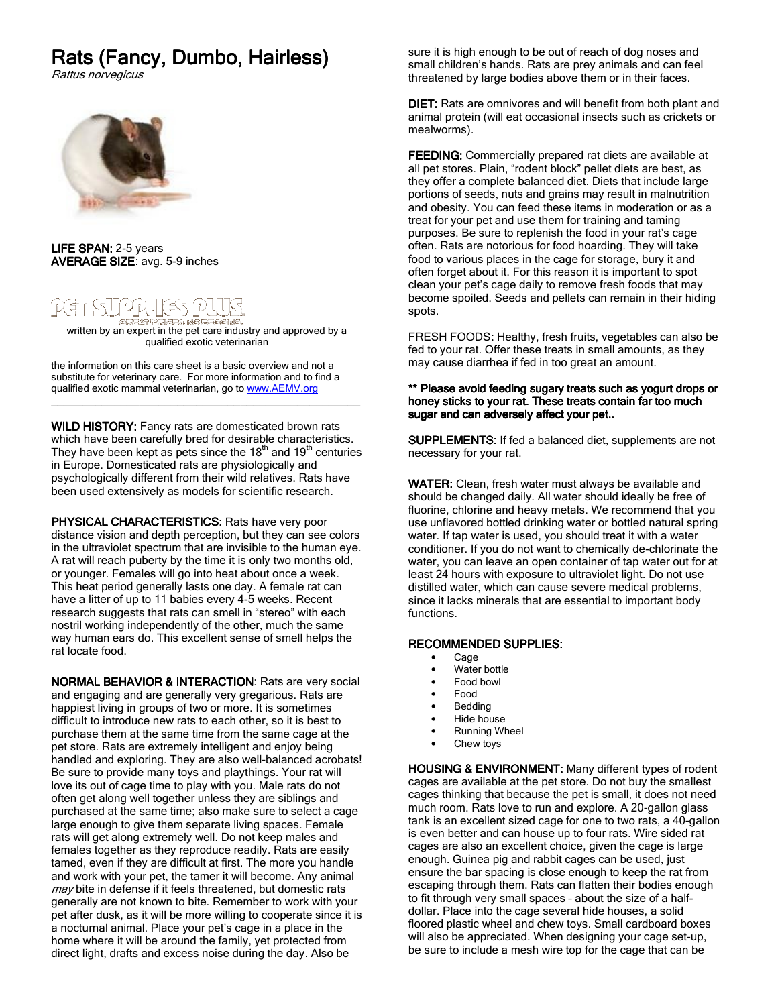# Rats (Fancy, Dumbo, Hairless)

Rattus norvegicus



LIFE SPAN: 2-5 years AVERAGE SIZE: avg. 5-9 inches

# [4] : 5UPP! l(65

written by an expert in the pet care industry and approved by a qualified exotic veterinarian

the information on this care sheet is a basic overview and not a substitute for veterinary care. For more information and to find a qualified exotic mammal veterinarian, go to www.AEMV.org

WILD HISTORY: Fancy rats are domesticated brown rats which have been carefully bred for desirable characteristics. They have been kept as pets since the  $18<sup>th</sup>$  and  $19<sup>th</sup>$  centuries in Europe. Domesticated rats are physiologically and psychologically different from their wild relatives. Rats have been used extensively as models for scientific research.

\_\_\_\_\_\_\_\_\_\_\_\_\_\_\_\_\_\_\_\_\_\_\_\_\_\_\_\_\_\_\_\_\_\_\_\_\_\_\_\_\_\_\_\_\_\_\_\_\_

PHYSICAL CHARACTERISTICS: Rats have very poor distance vision and depth perception, but they can see colors in the ultraviolet spectrum that are invisible to the human eye. A rat will reach puberty by the time it is only two months old, or younger. Females will go into heat about once a week. This heat period generally lasts one day. A female rat can have a litter of up to 11 babies every 4-5 weeks. Recent research suggests that rats can smell in "stereo" with each nostril working independently of the other, much the same way human ears do. This excellent sense of smell helps the rat locate food.

NORMAL BEHAVIOR & INTERACTION: Rats are very social and engaging and are generally very gregarious. Rats are happiest living in groups of two or more. It is sometimes difficult to introduce new rats to each other, so it is best to purchase them at the same time from the same cage at the pet store. Rats are extremely intelligent and enjoy being handled and exploring. They are also well-balanced acrobats! Be sure to provide many toys and playthings. Your rat will love its out of cage time to play with you. Male rats do not often get along well together unless they are siblings and purchased at the same time; also make sure to select a cage large enough to give them separate living spaces. Female rats will get along extremely well. Do not keep males and females together as they reproduce readily. Rats are easily tamed, even if they are difficult at first. The more you handle and work with your pet, the tamer it will become. Any animal may bite in defense if it feels threatened, but domestic rats generally are not known to bite. Remember to work with your pet after dusk, as it will be more willing to cooperate since it is a nocturnal animal. Place your pet's cage in a place in the home where it will be around the family, yet protected from direct light, drafts and excess noise during the day. Also be

sure it is high enough to be out of reach of dog noses and small children's hands. Rats are prey animals and can feel threatened by large bodies above them or in their faces.

DIET: Rats are omnivores and will benefit from both plant and animal protein (will eat occasional insects such as crickets or mealworms).

FEEDING: Commercially prepared rat diets are available at all pet stores. Plain, "rodent block" pellet diets are best, as they offer a complete balanced diet. Diets that include large portions of seeds, nuts and grains may result in malnutrition and obesity. You can feed these items in moderation or as a treat for your pet and use them for training and taming purposes. Be sure to replenish the food in your rat's cage often. Rats are notorious for food hoarding. They will take food to various places in the cage for storage, bury it and often forget about it. For this reason it is important to spot clean your pet's cage daily to remove fresh foods that may become spoiled. Seeds and pellets can remain in their hiding spots.

FRESH FOODS: Healthy, fresh fruits, vegetables can also be fed to your rat. Offer these treats in small amounts, as they may cause diarrhea if fed in too great an amount.

### \*\* Please avoid feeding sugary treats such as yogurt drops or honey sticks to your rat. These treats contain far too much sugar and can adversely affect your pet..

SUPPLEMENTS: If fed a balanced diet, supplements are not necessary for your rat.

WATER: Clean, fresh water must always be available and should be changed daily. All water should ideally be free of fluorine, chlorine and heavy metals. We recommend that you use unflavored bottled drinking water or bottled natural spring water. If tap water is used, you should treat it with a water conditioner. If you do not want to chemically de-chlorinate the water, you can leave an open container of tap water out for at least 24 hours with exposure to ultraviolet light. Do not use distilled water, which can cause severe medical problems, since it lacks minerals that are essential to important body functions.

# RECOMMENDED SUPPLIES: RECOMMENDED SUPPLIES:

- Cage
- Water bottle
- Food bowl
- Food
- **Bedding**
- Hide house
- Running Wheel
- Chew toys

HOUSING & ENVIRONMENT: Many different types of rodent cages are available at the pet store. Do not buy the smallest cages thinking that because the pet is small, it does not need much room. Rats love to run and explore. A 20-gallon glass tank is an excellent sized cage for one to two rats, a 40-gallon is even better and can house up to four rats. Wire sided rat cages are also an excellent choice, given the cage is large enough. Guinea pig and rabbit cages can be used, just ensure the bar spacing is close enough to keep the rat from escaping through them. Rats can flatten their bodies enough to fit through very small spaces – about the size of a halfdollar. Place into the cage several hide houses, a solid floored plastic wheel and chew toys. Small cardboard boxes will also be appreciated. When designing your cage set-up, be sure to include a mesh wire top for the cage that can be